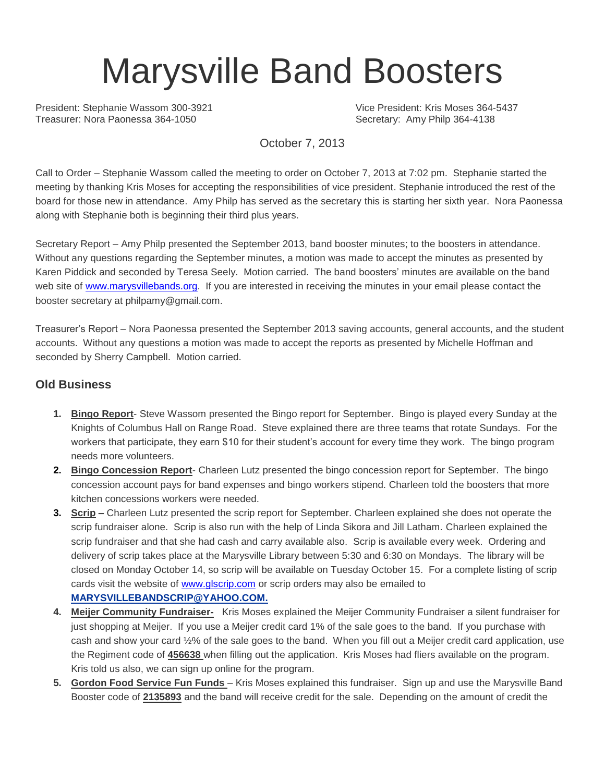# Marysville Band Boosters

President: Stephanie Wassom 300-3921 Vice President: Kris Moses 364-5437 Treasurer: Nora Paonessa 364-1050 Secretary: Amy Philp 364-4138

October 7, 2013

Call to Order – Stephanie Wassom called the meeting to order on October 7, 2013 at 7:02 pm. Stephanie started the meeting by thanking Kris Moses for accepting the responsibilities of vice president. Stephanie introduced the rest of the board for those new in attendance. Amy Philp has served as the secretary this is starting her sixth year. Nora Paonessa along with Stephanie both is beginning their third plus years.

Secretary Report – Amy Philp presented the September 2013, band booster minutes; to the boosters in attendance. Without any questions regarding the September minutes, a motion was made to accept the minutes as presented by Karen Piddick and seconded by Teresa Seely. Motion carried. The band boosters' minutes are available on the band web site of [www.marysvillebands.org.](http://www.marysvillebands.org/) If you are interested in receiving the minutes in your email please contact the booster secretary at philpamy@gmail.com.

Treasurer's Report – Nora Paonessa presented the September 2013 saving accounts, general accounts, and the student accounts. Without any questions a motion was made to accept the reports as presented by Michelle Hoffman and seconded by Sherry Campbell. Motion carried.

#### **Old Business**

- **1. Bingo Report** Steve Wassom presented the Bingo report for September. Bingo is played every Sunday at the Knights of Columbus Hall on Range Road. Steve explained there are three teams that rotate Sundays. For the workers that participate, they earn \$10 for their student's account for every time they work. The bingo program needs more volunteers.
- **2. Bingo Concession Report** Charleen Lutz presented the bingo concession report for September. The bingo concession account pays for band expenses and bingo workers stipend. Charleen told the boosters that more kitchen concessions workers were needed.
- **3. Scrip –** Charleen Lutz presented the scrip report for September. Charleen explained she does not operate the scrip fundraiser alone. Scrip is also run with the help of Linda Sikora and Jill Latham. Charleen explained the scrip fundraiser and that she had cash and carry available also. Scrip is available every week. Ordering and delivery of scrip takes place at the Marysville Library between 5:30 and 6:30 on Mondays. The library will be closed on Monday October 14, so scrip will be available on Tuesday October 15. For a complete listing of scrip cards visit the website of [www.glscrip.com](http://www.glscrip.com/) or scrip orders may also be emailed to **[MARYSVILLEBANDSCRIP@YAHOO.COM.](http://us.f838.mail.yahoo.com/ym/Compose?To=MARYSVILLEBANDSCRIP@YAHOO.COM%20/%20_blank)**
- **4. Meijer Community Fundraiser-** Kris Moses explained the Meijer Community Fundraiser a silent fundraiser for just shopping at Meijer. If you use a Meijer credit card 1% of the sale goes to the band. If you purchase with cash and show your card ½% of the sale goes to the band. When you fill out a Meijer credit card application, use the Regiment code of **456638** when filling out the application. Kris Moses had fliers available on the program. Kris told us also, we can sign up online for the program.
- **5. Gordon Food Service Fun Funds**  Kris Moses explained this fundraiser. Sign up and use the Marysville Band Booster code of **2135893** and the band will receive credit for the sale. Depending on the amount of credit the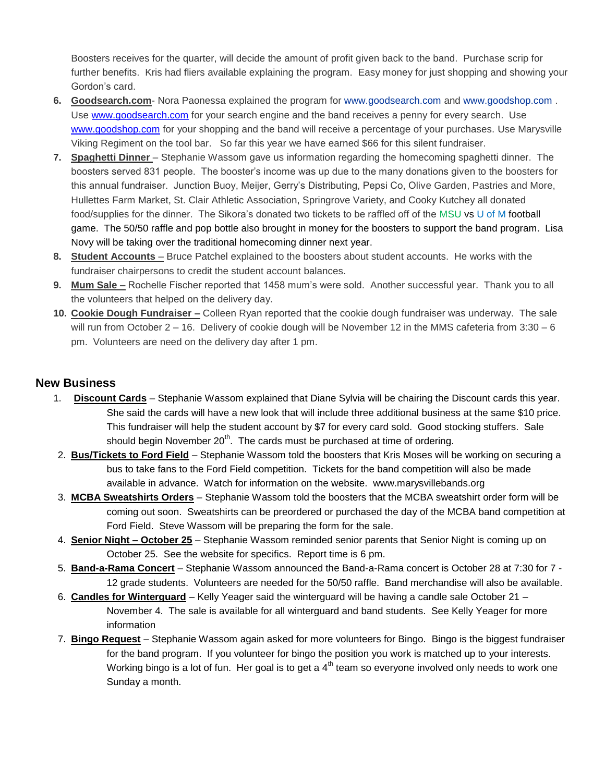Boosters receives for the quarter, will decide the amount of profit given back to the band. Purchase scrip for further benefits. Kris had fliers available explaining the program. Easy money for just shopping and showing your Gordon's card.

- **6. Goodsearch.com** Nora Paonessa explained the program for [www.goodsearch.com](http://www.goodsearch.com/) and [www.goodshop.com](http://www.goodshop.com/) . Use [www.goodsearch.com](http://www.goodsearch.com/) for your search engine and the band receives a penny for every search. Use [www.goodshop.com](http://www.goodshop.com/) for your shopping and the band will receive a percentage of your purchases. Use Marysville Viking Regiment on the tool bar. So far this year we have earned \$66 for this silent fundraiser.
- **7. Spaghetti Dinner** Stephanie Wassom gave us information regarding the homecoming spaghetti dinner. The boosters served 831 people. The booster's income was up due to the many donations given to the boosters for this annual fundraiser. Junction Buoy, Meijer, Gerry's Distributing, Pepsi Co, Olive Garden, Pastries and More, Hullettes Farm Market, St. Clair Athletic Association, Springrove Variety, and Cooky Kutchey all donated food/supplies for the dinner. The Sikora's donated two tickets to be raffled off of the MSU vs U of M football game. The 50/50 raffle and pop bottle also brought in money for the boosters to support the band program. Lisa Novy will be taking over the traditional homecoming dinner next year.
- **8. Student Accounts** Bruce Patchel explained to the boosters about student accounts. He works with the fundraiser chairpersons to credit the student account balances.
- **9. Mum Sale –** Rochelle Fischer reported that 1458 mum's were sold. Another successful year. Thank you to all the volunteers that helped on the delivery day.
- **10. Cookie Dough Fundraiser –** Colleen Ryan reported that the cookie dough fundraiser was underway. The sale will run from October 2 – 16. Delivery of cookie dough will be November 12 in the MMS cafeteria from 3:30 – 6 pm. Volunteers are need on the delivery day after 1 pm.

#### **New Business**

- 1. **Discount Cards** Stephanie Wassom explained that Diane Sylvia will be chairing the Discount cards this year. She said the cards will have a new look that will include three additional business at the same \$10 price. This fundraiser will help the student account by \$7 for every card sold. Good stocking stuffers. Sale should begin November  $20<sup>th</sup>$ . The cards must be purchased at time of ordering.
- 2. **Bus/Tickets to Ford Field** Stephanie Wassom told the boosters that Kris Moses will be working on securing a bus to take fans to the Ford Field competition. Tickets for the band competition will also be made available in advance. Watch for information on the website. www.marysvillebands.org
- 3. **MCBA Sweatshirts Orders** Stephanie Wassom told the boosters that the MCBA sweatshirt order form will be coming out soon. Sweatshirts can be preordered or purchased the day of the MCBA band competition at Ford Field. Steve Wassom will be preparing the form for the sale.
- 4. **Senior Night – October 25** Stephanie Wassom reminded senior parents that Senior Night is coming up on October 25. See the website for specifics. Report time is 6 pm.
- 5. **Band-a-Rama Concert** Stephanie Wassom announced the Band-a-Rama concert is October 28 at 7:30 for 7 12 grade students. Volunteers are needed for the 50/50 raffle. Band merchandise will also be available.
- 6. **Candles for Winterguard** Kelly Yeager said the winterguard will be having a candle sale October 21 November 4. The sale is available for all winterguard and band students. See Kelly Yeager for more information
- 7. **Bingo Request** Stephanie Wassom again asked for more volunteers for Bingo. Bingo is the biggest fundraiser for the band program. If you volunteer for bingo the position you work is matched up to your interests. Working bingo is a lot of fun. Her goal is to get a  $4<sup>th</sup>$  team so everyone involved only needs to work one Sunday a month.